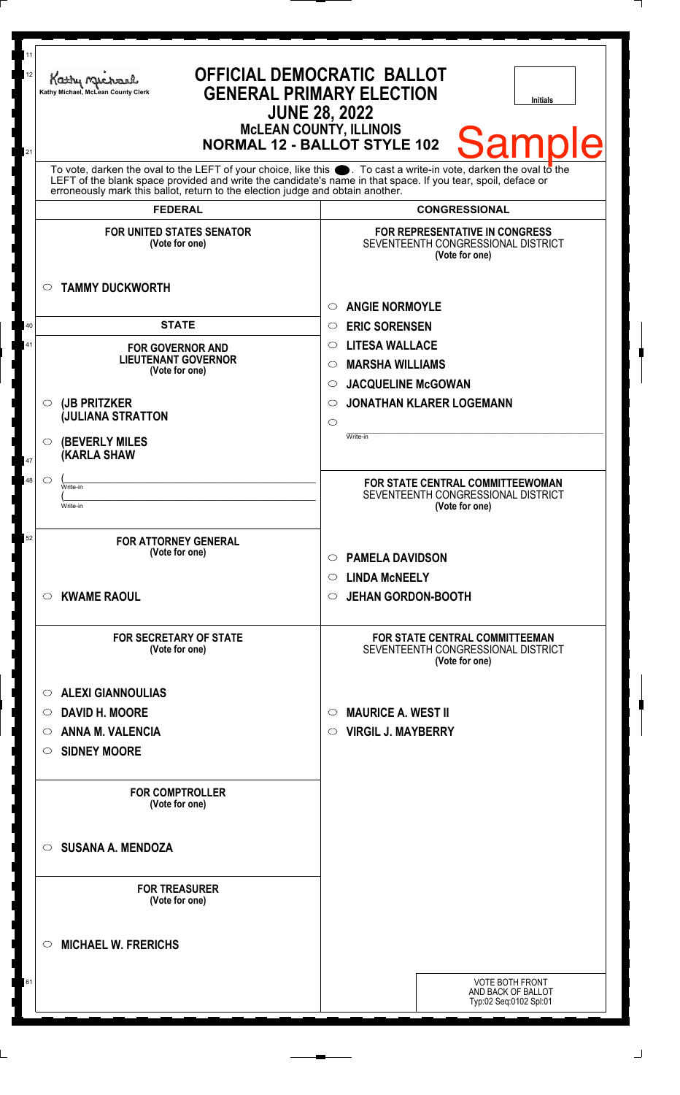| 11<br>12<br>21 | <b>OFFICIAL DEMOCRATIC BALLOT</b><br>Kathy Michael<br><b>GENERAL PRIMARY ELECTION</b><br>Kathy Michael, McLean County Clerk<br><b>Initials</b><br><b>JUNE 28, 2022</b><br><b>McLEAN COUNTY, ILLINOIS</b><br><b>Samp</b><br>Ie<br><b>NORMAL 12 - BALLOT STYLE 102</b>                                                   |                                                                                               |
|----------------|------------------------------------------------------------------------------------------------------------------------------------------------------------------------------------------------------------------------------------------------------------------------------------------------------------------------|-----------------------------------------------------------------------------------------------|
|                | To vote, darken the oval to the LEFT of your choice, like this $\bullet$ . To cast a write-in vote, darken the oval to the LEFT of the blank space provided and write the candidate's name in that space. If you tear, spoil, deface<br>erroneously mark this ballot, return to the election judge and obtain another. |                                                                                               |
|                | <b>FEDERAL</b>                                                                                                                                                                                                                                                                                                         | <b>CONGRESSIONAL</b>                                                                          |
|                | <b>FOR UNITED STATES SENATOR</b><br>(Vote for one)<br><b>TAMMY DUCKWORTH</b><br>$\circ$                                                                                                                                                                                                                                | <b>FOR REPRESENTATIVE IN CONGRESS</b><br>SEVENTEENTH CONGRESSIONAL DISTRICT<br>(Vote for one) |
|                |                                                                                                                                                                                                                                                                                                                        |                                                                                               |
| 40             | <b>STATE</b>                                                                                                                                                                                                                                                                                                           | <b>ANGIE NORMOYLE</b><br>$\circ$<br><b>ERIC SORENSEN</b><br>$\circ$                           |
| 41             |                                                                                                                                                                                                                                                                                                                        | <b>LITESA WALLACE</b><br>$\circ$                                                              |
|                | <b>FOR GOVERNOR AND</b><br><b>LIEUTENANT GOVERNOR</b>                                                                                                                                                                                                                                                                  | <b>MARSHA WILLIAMS</b><br>$\circ$                                                             |
|                | (Vote for one)                                                                                                                                                                                                                                                                                                         | <b>JACQUELINE McGOWAN</b><br>$\circ$                                                          |
|                | (JB PRITZKER<br>$\circ$                                                                                                                                                                                                                                                                                                | <b>JONATHAN KLARER LOGEMANN</b><br>$\circ$                                                    |
|                | <b>JULIANA STRATTON</b>                                                                                                                                                                                                                                                                                                | $\circ$                                                                                       |
| 47             | <b>(BEVERLY MILES)</b><br>$\circ$<br><b>KARLA SHAW</b>                                                                                                                                                                                                                                                                 | Write-in                                                                                      |
| 48             | $\circ$<br>Write-in<br>Write-in                                                                                                                                                                                                                                                                                        | FOR STATE CENTRAL COMMITTEEWOMAN<br>SEVENTEENTH CONGRESSIONAL DISTRICT<br>(Vote for one)      |
| 52             | <b>FOR ATTORNEY GENERAL</b><br>(Vote for one)                                                                                                                                                                                                                                                                          | <b>PAMELA DAVIDSON</b><br>$\circ$                                                             |
|                |                                                                                                                                                                                                                                                                                                                        | <b>LINDA MCNEELY</b><br>$\circ$                                                               |
|                | <b>KWAME RAOUL</b><br>$\circ$                                                                                                                                                                                                                                                                                          | <b>JEHAN GORDON-BOOTH</b><br>$\circ$                                                          |
|                | <b>FOR SECRETARY OF STATE</b><br>(Vote for one)                                                                                                                                                                                                                                                                        | FOR STATE CENTRAL COMMITTEEMAN<br>SEVENTEENTH CONGRESSIONAL DISTRICT<br>(Vote for one)        |
|                | <b>ALEXI GIANNOULIAS</b><br>$\circ$                                                                                                                                                                                                                                                                                    |                                                                                               |
|                | <b>DAVID H. MOORE</b><br>O                                                                                                                                                                                                                                                                                             | <b>MAURICE A. WEST II</b><br>$\circ$                                                          |
|                | <b>ANNA M. VALENCIA</b><br>O                                                                                                                                                                                                                                                                                           | <b>VIRGIL J. MAYBERRY</b><br>$\circ$                                                          |
|                | <b>SIDNEY MOORE</b><br>O                                                                                                                                                                                                                                                                                               |                                                                                               |
|                | <b>FOR COMPTROLLER</b><br>(Vote for one)                                                                                                                                                                                                                                                                               |                                                                                               |
|                | <b>SUSANA A. MENDOZA</b><br>$\circ$                                                                                                                                                                                                                                                                                    |                                                                                               |
|                | <b>FOR TREASURER</b><br>(Vote for one)                                                                                                                                                                                                                                                                                 |                                                                                               |
|                | <b>MICHAEL W. FRERICHS</b><br>◯                                                                                                                                                                                                                                                                                        |                                                                                               |
| 61             |                                                                                                                                                                                                                                                                                                                        | <b>VOTE BOTH FRONT</b><br>AND BACK OF BALLOT<br>Typ:02 Seq:0102 Spl:01                        |
|                |                                                                                                                                                                                                                                                                                                                        |                                                                                               |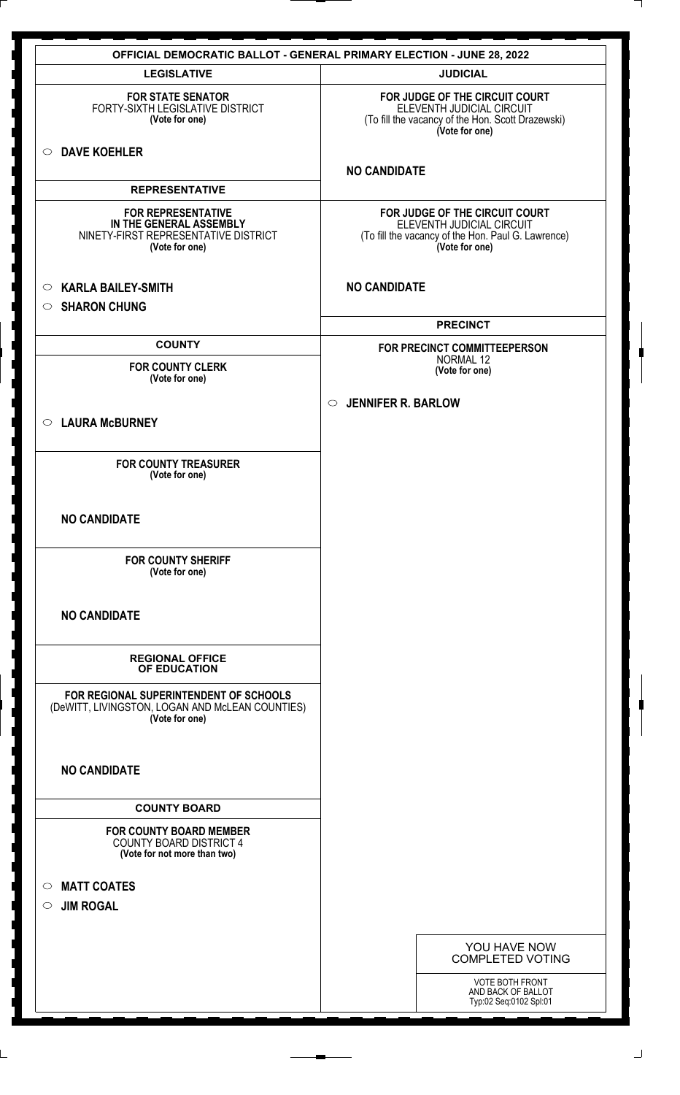|                                                                                                                         | <b>OFFICIAL DEMOCRATIC BALLOT - GENERAL PRIMARY ELECTION - JUNE 28, 2022</b>                                                        |
|-------------------------------------------------------------------------------------------------------------------------|-------------------------------------------------------------------------------------------------------------------------------------|
| <b>LEGISLATIVE</b>                                                                                                      | <b>JUDICIAL</b>                                                                                                                     |
| <b>FOR STATE SENATOR</b><br>FORTY-SIXTH LEGISLATIVE DISTRICT<br>(Vote for one)                                          | FOR JUDGE OF THE CIRCUIT COURT<br>ELEVENTH JUDICIAL CIRCUIT<br>(To fill the vacancy of the Hon. Scott Drazewski)<br>(Vote for one)  |
| <b>DAVE KOEHLER</b><br>$\circ$                                                                                          | <b>NO CANDIDATE</b>                                                                                                                 |
| <b>REPRESENTATIVE</b>                                                                                                   |                                                                                                                                     |
| <b>FOR REPRESENTATIVE</b><br>IN THE GENERAL ASSEMBLY<br>NINETY-FIRST REPRESENTATIVE DISTRICT<br>(Vote for one)          | FOR JUDGE OF THE CIRCUIT COURT<br>ELEVENTH JUDICIAL CIRCUIT<br>(To fill the vacancy of the Hon. Paul G. Lawrence)<br>(Vote for one) |
| <b>KARLA BAILEY-SMITH</b><br>$\circ$<br><b>SHARON CHUNG</b><br>$\circ$                                                  | <b>NO CANDIDATE</b>                                                                                                                 |
|                                                                                                                         | <b>PRECINCT</b>                                                                                                                     |
| <b>COUNTY</b>                                                                                                           | FOR PRECINCT COMMITTEEPERSON<br><b>NORMAL 12</b>                                                                                    |
| <b>FOR COUNTY CLERK</b><br>(Vote for one)                                                                               | (Vote for one)                                                                                                                      |
| <b>LAURA McBURNEY</b><br>$\circ$                                                                                        | <b>JENNIFER R. BARLOW</b><br>$\circ$                                                                                                |
| <b>FOR COUNTY TREASURER</b><br>(Vote for one)                                                                           |                                                                                                                                     |
| <b>NO CANDIDATE</b>                                                                                                     |                                                                                                                                     |
| <b>FOR COUNTY SHERIFF</b><br>(Vote for one)                                                                             |                                                                                                                                     |
| <b>NO CANDIDATE</b>                                                                                                     |                                                                                                                                     |
| <b>REGIONAL OFFICE</b><br>OF EDUCATION                                                                                  |                                                                                                                                     |
| FOR REGIONAL SUPERINTENDENT OF SCHOOLS<br>(DeWITT, LIVINGSTON, LOGAN AND McLEAN COUNTIES)<br>(Vote for one)             |                                                                                                                                     |
| <b>NO CANDIDATE</b>                                                                                                     |                                                                                                                                     |
| <b>COUNTY BOARD</b><br><b>FOR COUNTY BOARD MEMBER</b><br><b>COUNTY BOARD DISTRICT 4</b><br>(Vote for not more than two) |                                                                                                                                     |
| <b>MATT COATES</b><br>$\circ$<br><b>JIM ROGAL</b><br>$\circ$                                                            |                                                                                                                                     |
|                                                                                                                         | YOU HAVE NOW<br><b>COMPLETED VOTING</b>                                                                                             |
|                                                                                                                         | VOTE BOTH FRONT<br>AND BACK OF BALLOT<br>Typ:02 Seq:0102 Spl:01                                                                     |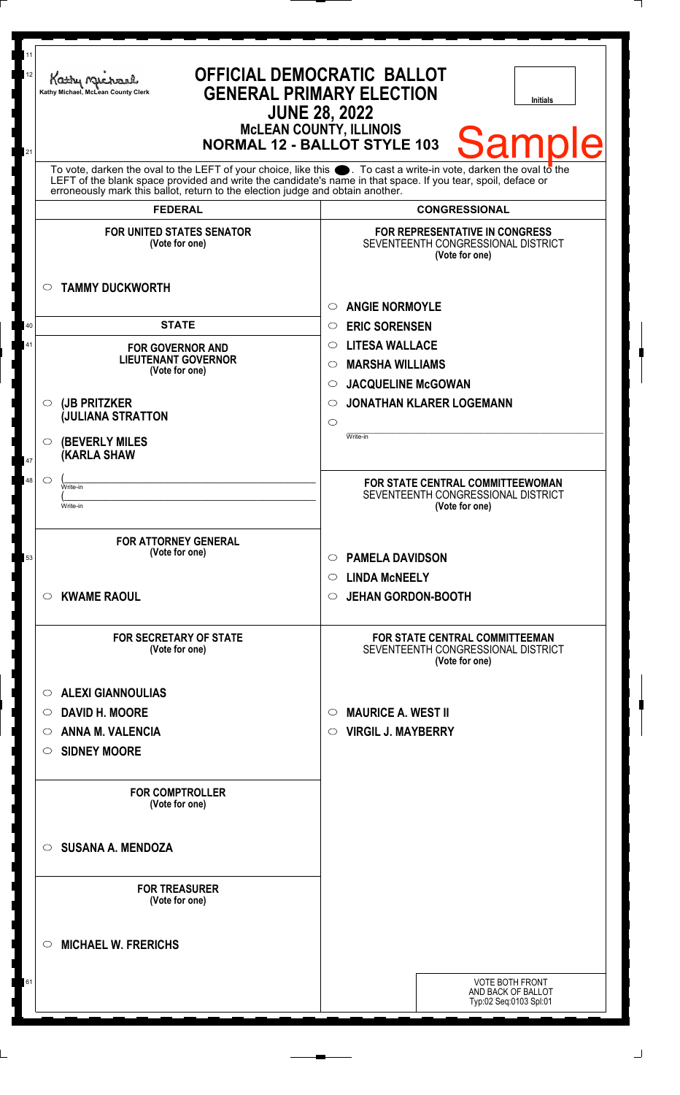| 11<br>12<br>21 | <b>OFFICIAL DEMOCRATIC BALLOT</b><br>Kathy Michael<br><b>GENERAL PRIMARY ELECTION</b><br>Kathy Michael, McLean County Clerk<br><b>Initials</b><br><b>JUNE 28, 2022</b><br><b>McLEAN COUNTY, ILLINOIS</b><br><b>Samp</b><br><b>NORMAL 12 - BALLOT STYLE 103</b><br>To vote, darken the oval to the LEFT of your choice, like this . To cast a write-in vote, darken the oval to the LEFT of the blank space provided and write the candidate's name in that space. If you tear, spoil, deface or |                                                                                               |
|----------------|-------------------------------------------------------------------------------------------------------------------------------------------------------------------------------------------------------------------------------------------------------------------------------------------------------------------------------------------------------------------------------------------------------------------------------------------------------------------------------------------------|-----------------------------------------------------------------------------------------------|
|                |                                                                                                                                                                                                                                                                                                                                                                                                                                                                                                 |                                                                                               |
|                | <b>FEDERAL</b>                                                                                                                                                                                                                                                                                                                                                                                                                                                                                  | <b>CONGRESSIONAL</b>                                                                          |
|                | <b>FOR UNITED STATES SENATOR</b><br>(Vote for one)<br><b>TAMMY DUCKWORTH</b><br>$\circ$                                                                                                                                                                                                                                                                                                                                                                                                         | <b>FOR REPRESENTATIVE IN CONGRESS</b><br>SEVENTEENTH CONGRESSIONAL DISTRICT<br>(Vote for one) |
|                |                                                                                                                                                                                                                                                                                                                                                                                                                                                                                                 |                                                                                               |
|                | <b>STATE</b>                                                                                                                                                                                                                                                                                                                                                                                                                                                                                    | <b>ANGIE NORMOYLE</b><br>O                                                                    |
| 40             |                                                                                                                                                                                                                                                                                                                                                                                                                                                                                                 | <b>ERIC SORENSEN</b><br>$\circ$                                                               |
| 41             | <b>FOR GOVERNOR AND</b><br><b>LIEUTENANT GOVERNOR</b>                                                                                                                                                                                                                                                                                                                                                                                                                                           | <b>LITESA WALLACE</b><br>$\circ$                                                              |
|                | (Vote for one)                                                                                                                                                                                                                                                                                                                                                                                                                                                                                  | <b>MARSHA WILLIAMS</b><br>$\circlearrowright$                                                 |
|                |                                                                                                                                                                                                                                                                                                                                                                                                                                                                                                 | <b>JACQUELINE McGOWAN</b><br>$\circ$                                                          |
|                | (JB PRITZKER<br>$\circ$<br><b>JULIANA STRATTON</b>                                                                                                                                                                                                                                                                                                                                                                                                                                              | <b>JONATHAN KLARER LOGEMANN</b><br>O                                                          |
|                |                                                                                                                                                                                                                                                                                                                                                                                                                                                                                                 | $\circ$<br>Write-in                                                                           |
| 47             | <b>(BEVERLY MILES)</b><br>$\circ$<br><b>KARLA SHAW</b>                                                                                                                                                                                                                                                                                                                                                                                                                                          |                                                                                               |
| 48             | $\circ$<br>Write-in                                                                                                                                                                                                                                                                                                                                                                                                                                                                             | FOR STATE CENTRAL COMMITTEEWOMAN                                                              |
|                | Write-in                                                                                                                                                                                                                                                                                                                                                                                                                                                                                        | SEVENTEENTH CONGRESSIONAL DISTRICT<br>(Vote for one)                                          |
|                |                                                                                                                                                                                                                                                                                                                                                                                                                                                                                                 |                                                                                               |
| 53             | <b>FOR ATTORNEY GENERAL</b><br>(Vote for one)                                                                                                                                                                                                                                                                                                                                                                                                                                                   | <b>PAMELA DAVIDSON</b><br>$\circ$                                                             |
|                |                                                                                                                                                                                                                                                                                                                                                                                                                                                                                                 | <b>LINDA MCNEELY</b><br>$\circ$                                                               |
|                | <b>KWAME RAOUL</b><br>$\circ$                                                                                                                                                                                                                                                                                                                                                                                                                                                                   | <b>JEHAN GORDON-BOOTH</b><br>$\circ$                                                          |
|                | <b>FOR SECRETARY OF STATE</b><br>(Vote for one)                                                                                                                                                                                                                                                                                                                                                                                                                                                 | FOR STATE CENTRAL COMMITTEEMAN<br>SEVENTEENTH CONGRESSIONAL DISTRICT<br>(Vote for one)        |
|                | <b>ALEXI GIANNOULIAS</b><br>$\circ$                                                                                                                                                                                                                                                                                                                                                                                                                                                             |                                                                                               |
|                | <b>DAVID H. MOORE</b><br>$\circ$                                                                                                                                                                                                                                                                                                                                                                                                                                                                | <b>MAURICE A. WEST II</b><br>$\circ$                                                          |
|                | <b>ANNA M. VALENCIA</b>                                                                                                                                                                                                                                                                                                                                                                                                                                                                         | <b>VIRGIL J. MAYBERRY</b><br>$\circ$                                                          |
|                | $\circ$                                                                                                                                                                                                                                                                                                                                                                                                                                                                                         |                                                                                               |
|                | <b>SIDNEY MOORE</b><br>$\circ$                                                                                                                                                                                                                                                                                                                                                                                                                                                                  |                                                                                               |
|                | <b>FOR COMPTROLLER</b><br>(Vote for one)                                                                                                                                                                                                                                                                                                                                                                                                                                                        |                                                                                               |
|                | <b>SUSANA A. MENDOZA</b><br>◯                                                                                                                                                                                                                                                                                                                                                                                                                                                                   |                                                                                               |
|                | <b>FOR TREASURER</b><br>(Vote for one)                                                                                                                                                                                                                                                                                                                                                                                                                                                          |                                                                                               |
|                | <b>MICHAEL W. FRERICHS</b><br>◯                                                                                                                                                                                                                                                                                                                                                                                                                                                                 |                                                                                               |
| 61             |                                                                                                                                                                                                                                                                                                                                                                                                                                                                                                 | <b>VOTE BOTH FRONT</b>                                                                        |
|                |                                                                                                                                                                                                                                                                                                                                                                                                                                                                                                 | AND BACK OF BALLOT<br>Typ:02 Seq:0103 Spl:01                                                  |
|                |                                                                                                                                                                                                                                                                                                                                                                                                                                                                                                 |                                                                                               |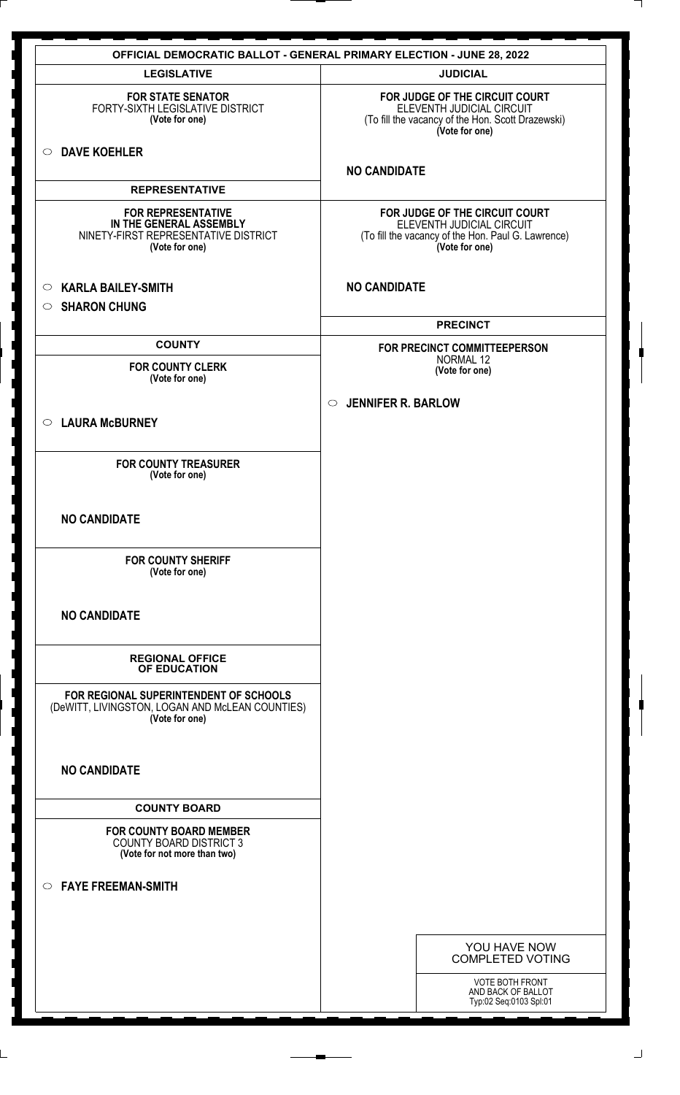| <b>OFFICIAL DEMOCRATIC BALLOT - GENERAL PRIMARY ELECTION - JUNE 28, 2022</b>                                   |                                                                                                                                     |  |
|----------------------------------------------------------------------------------------------------------------|-------------------------------------------------------------------------------------------------------------------------------------|--|
| <b>LEGISLATIVE</b>                                                                                             | <b>JUDICIAL</b>                                                                                                                     |  |
| <b>FOR STATE SENATOR</b><br>FORTY-SIXTH LEGISLATIVE DISTRICT<br>(Vote for one)                                 | FOR JUDGE OF THE CIRCUIT COURT<br>ELEVENTH JUDICIAL CIRCUIT<br>(To fill the vacancy of the Hon. Scott Drazewski)<br>(Vote for one)  |  |
| <b>DAVE KOEHLER</b><br>$\circ$                                                                                 | <b>NO CANDIDATE</b>                                                                                                                 |  |
| <b>REPRESENTATIVE</b>                                                                                          |                                                                                                                                     |  |
| <b>FOR REPRESENTATIVE</b><br>IN THE GENERAL ASSEMBLY<br>NINETY-FIRST REPRESENTATIVE DISTRICT<br>(Vote for one) | FOR JUDGE OF THE CIRCUIT COURT<br>ELEVENTH JUDICIAL CIRCUIT<br>(To fill the vacancy of the Hon. Paul G. Lawrence)<br>(Vote for one) |  |
| <b>KARLA BAILEY-SMITH</b><br>$\circ$                                                                           | <b>NO CANDIDATE</b>                                                                                                                 |  |
| <b>SHARON CHUNG</b><br>$\circ$                                                                                 |                                                                                                                                     |  |
|                                                                                                                | <b>PRECINCT</b>                                                                                                                     |  |
| <b>COUNTY</b>                                                                                                  | FOR PRECINCT COMMITTEEPERSON<br>NORMAL 12                                                                                           |  |
| <b>FOR COUNTY CLERK</b><br>(Vote for one)                                                                      | (Vote for one)                                                                                                                      |  |
|                                                                                                                | <b>JENNIFER R. BARLOW</b><br>$\circ$                                                                                                |  |
| <b>LAURA McBURNEY</b><br>$\circ$                                                                               |                                                                                                                                     |  |
| <b>FOR COUNTY TREASURER</b><br>(Vote for one)                                                                  |                                                                                                                                     |  |
| <b>NO CANDIDATE</b>                                                                                            |                                                                                                                                     |  |
| <b>FOR COUNTY SHERIFF</b><br>(Vote for one)                                                                    |                                                                                                                                     |  |
| <b>NO CANDIDATE</b>                                                                                            |                                                                                                                                     |  |
| <b>REGIONAL OFFICE</b><br>OF EDUCATION                                                                         |                                                                                                                                     |  |
| FOR REGIONAL SUPERINTENDENT OF SCHOOLS<br>(DeWITT, LIVINGSTON, LOGAN AND McLEAN COUNTIES)<br>(Vote for one)    |                                                                                                                                     |  |
| <b>NO CANDIDATE</b>                                                                                            |                                                                                                                                     |  |
| <b>COUNTY BOARD</b>                                                                                            |                                                                                                                                     |  |
| <b>FOR COUNTY BOARD MEMBER</b><br><b>COUNTY BOARD DISTRICT 3</b><br>(Vote for not more than two)               |                                                                                                                                     |  |
| <b>FAYE FREEMAN-SMITH</b><br>$\circ$                                                                           |                                                                                                                                     |  |
|                                                                                                                |                                                                                                                                     |  |
|                                                                                                                | YOU HAVE NOW<br><b>COMPLETED VOTING</b>                                                                                             |  |
|                                                                                                                | <b>VOTE BOTH FRONT</b>                                                                                                              |  |
|                                                                                                                | AND BACK OF BALLOT<br>Typ:02 Seq:0103 Spl:01                                                                                        |  |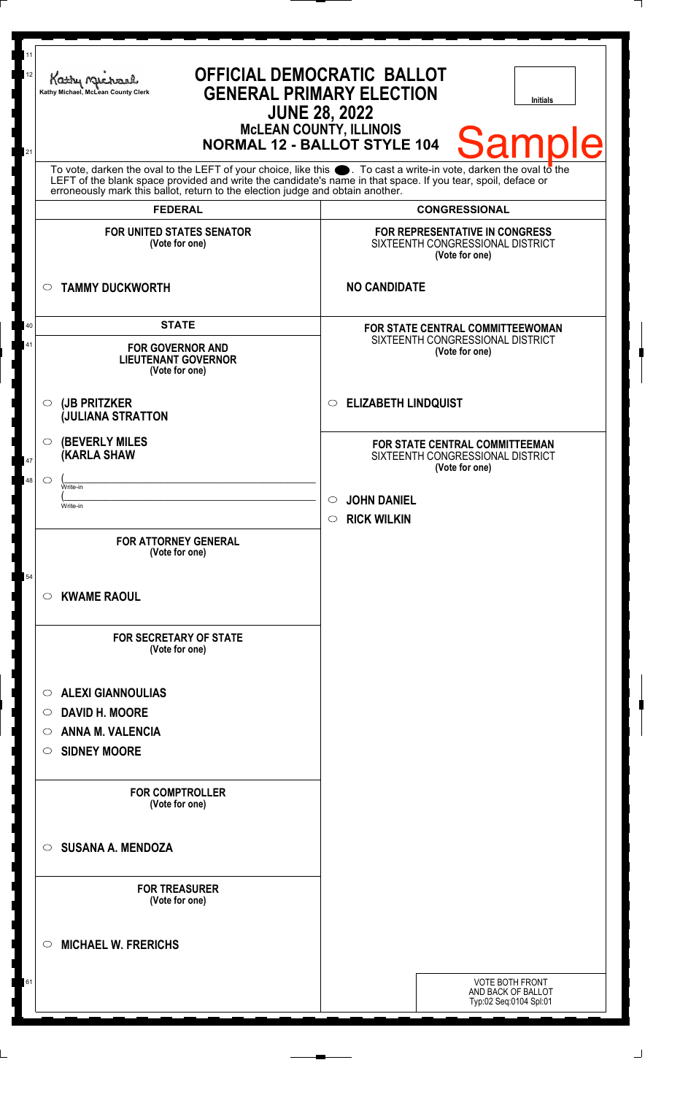| 11<br>12<br>21 | <b>OFFICIAL DEMOCRATIC BALLOT</b><br>Kathy Muc<br><b>GENERAL PRIMARY ELECTION</b><br>Kathy Michael, McLean County Clerk<br><b>Initials</b><br><b>JUNE 28, 2022</b><br><b>McLEAN COUNTY, ILLINOIS</b><br><b>Sample</b><br><b>NORMAL 12 - BALLOT STYLE 104</b><br>To vote, darken the oval to the LEFT of your choice, like this $\bullet$ . To cast a write-in vote, darken the oval to the LEFT of the blank space provided and write the candidate's name in that space. If you tear, spoil, deface<br>erroneously mark this ballot, return to the election judge and obtain another. |                                                                                        |
|----------------|----------------------------------------------------------------------------------------------------------------------------------------------------------------------------------------------------------------------------------------------------------------------------------------------------------------------------------------------------------------------------------------------------------------------------------------------------------------------------------------------------------------------------------------------------------------------------------------|----------------------------------------------------------------------------------------|
|                |                                                                                                                                                                                                                                                                                                                                                                                                                                                                                                                                                                                        |                                                                                        |
|                | <b>FEDERAL</b>                                                                                                                                                                                                                                                                                                                                                                                                                                                                                                                                                                         | <b>CONGRESSIONAL</b>                                                                   |
|                | <b>FOR UNITED STATES SENATOR</b><br>(Vote for one)                                                                                                                                                                                                                                                                                                                                                                                                                                                                                                                                     | FOR REPRESENTATIVE IN CONGRESS<br>SIXTEENTH CONGRESSIONAL DISTRICT<br>(Vote for one)   |
|                | <b>TAMMY DUCKWORTH</b><br>$\circ$                                                                                                                                                                                                                                                                                                                                                                                                                                                                                                                                                      | <b>NO CANDIDATE</b>                                                                    |
| 40<br>41       | <b>STATE</b><br><b>FOR GOVERNOR AND</b><br><b>LIEUTENANT GOVERNOR</b><br>(Vote for one)                                                                                                                                                                                                                                                                                                                                                                                                                                                                                                | FOR STATE CENTRAL COMMITTEEWOMAN<br>SIXTEENTH CONGRESSIONAL DISTRICT<br>(Vote for one) |
|                | (JB PRITZKER<br>$\circ$<br><b>JULIANA STRATTON</b>                                                                                                                                                                                                                                                                                                                                                                                                                                                                                                                                     | <b>ELIZABETH LINDQUIST</b><br>$\circ$                                                  |
| 47             | <b>(BEVERLY MILES)</b><br>$\circ$<br><b>KARLA SHAW</b>                                                                                                                                                                                                                                                                                                                                                                                                                                                                                                                                 | FOR STATE CENTRAL COMMITTEEMAN<br>SIXTEENTH CONGRESSIONAL DISTRICT<br>(Vote for one)   |
| 48             | $\circ$<br>Write-in<br>Write-in                                                                                                                                                                                                                                                                                                                                                                                                                                                                                                                                                        | <b>JOHN DANIEL</b><br>$\circ$<br><b>RICK WILKIN</b><br>$\circ$                         |
|                | <b>FOR ATTORNEY GENERAL</b><br>(Vote for one)                                                                                                                                                                                                                                                                                                                                                                                                                                                                                                                                          |                                                                                        |
| 54             | <b>KWAME RAOUL</b><br>$\circ$                                                                                                                                                                                                                                                                                                                                                                                                                                                                                                                                                          |                                                                                        |
|                | <b>FOR SECRETARY OF STATE</b><br>(Vote for one)                                                                                                                                                                                                                                                                                                                                                                                                                                                                                                                                        |                                                                                        |
|                | <b>ALEXI GIANNOULIAS</b><br>◯                                                                                                                                                                                                                                                                                                                                                                                                                                                                                                                                                          |                                                                                        |
|                | <b>DAVID H. MOORE</b><br>O                                                                                                                                                                                                                                                                                                                                                                                                                                                                                                                                                             |                                                                                        |
|                | <b>ANNA M. VALENCIA</b><br>O                                                                                                                                                                                                                                                                                                                                                                                                                                                                                                                                                           |                                                                                        |
|                | <b>SIDNEY MOORE</b><br>$\circ$                                                                                                                                                                                                                                                                                                                                                                                                                                                                                                                                                         |                                                                                        |
|                | <b>FOR COMPTROLLER</b><br>(Vote for one)                                                                                                                                                                                                                                                                                                                                                                                                                                                                                                                                               |                                                                                        |
|                | <b>SUSANA A. MENDOZA</b><br>$\bigcirc$                                                                                                                                                                                                                                                                                                                                                                                                                                                                                                                                                 |                                                                                        |
|                | <b>FOR TREASURER</b><br>(Vote for one)                                                                                                                                                                                                                                                                                                                                                                                                                                                                                                                                                 |                                                                                        |
|                | <b>MICHAEL W. FRERICHS</b><br>◯                                                                                                                                                                                                                                                                                                                                                                                                                                                                                                                                                        |                                                                                        |
| 61             |                                                                                                                                                                                                                                                                                                                                                                                                                                                                                                                                                                                        | <b>VOTE BOTH FRONT</b><br>AND BACK OF BALLOT<br>Typ:02 Seq:0104 Spl:01                 |
|                |                                                                                                                                                                                                                                                                                                                                                                                                                                                                                                                                                                                        |                                                                                        |